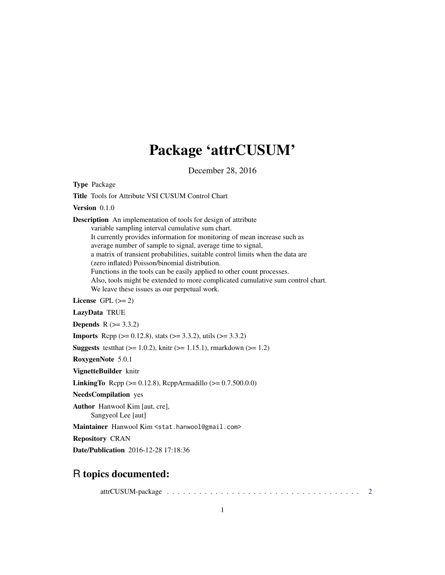## Package 'attrCUSUM'

December 28, 2016

<span id="page-0-0"></span>Type Package

Title Tools for Attribute VSI CUSUM Control Chart Version 0.1.0 Description An implementation of tools for design of attribute variable sampling interval cumulative sum chart. It currently provides information for monitoring of mean increase such as average number of sample to signal, average time to signal, a matrix of transient probabilities, suitable control limits when the data are (zero inflated) Poisson/binomial distribution. Functions in the tools can be easily applied to other count processes. Also, tools might be extended to more complicated cumulative sum control chart. We leave these issues as our perpetual work. License GPL  $(>= 2)$ LazyData TRUE

**Depends**  $R (= 3.3.2)$ 

**Imports** Rcpp ( $>= 0.12.8$ ), stats ( $>= 3.3.2$ ), utils ( $>= 3.3.2$ )

**Suggests** test that  $(>= 1.0.2)$ , knitr  $(>= 1.15.1)$ , rmarkdown  $(>= 1.2)$ 

RoxygenNote 5.0.1

VignetteBuilder knitr

**LinkingTo** Rcpp ( $>= 0.12.8$ ), RcppArmadillo ( $>= 0.7.500.0.0$ )

NeedsCompilation yes

Author Hanwool Kim [aut, cre], Sangyeol Lee [aut]

Maintainer Hanwool Kim <stat.hanwool@gmail.com>

Repository CRAN

Date/Publication 2016-12-28 17:18:36

### R topics documented:

attrCUSUM-package . . . . . . . . . . . . . . . . . . . . . . . . . . . . . . . . . . . . [2](#page-1-0)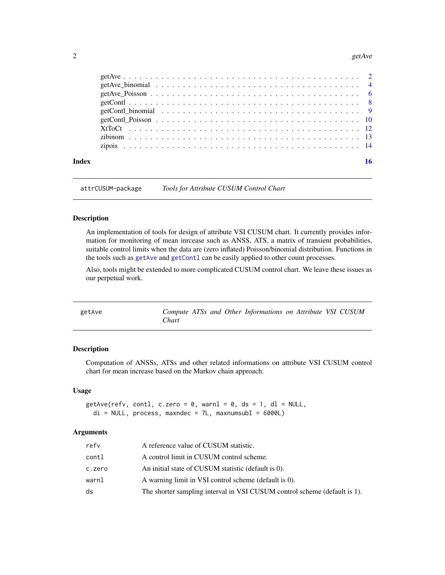#### <span id="page-1-0"></span>2 getAve group  $getAve$

| Index |                                                                                                                                                                                                        | 16 |
|-------|--------------------------------------------------------------------------------------------------------------------------------------------------------------------------------------------------------|----|
|       |                                                                                                                                                                                                        |    |
|       |                                                                                                                                                                                                        |    |
|       |                                                                                                                                                                                                        |    |
|       |                                                                                                                                                                                                        |    |
|       |                                                                                                                                                                                                        |    |
|       |                                                                                                                                                                                                        |    |
|       | $getAve_P \n  Poisson \n  \ldots \n  \ldots \n  \ldots \n  \ldots \n  \ldots \n  \ldots \n  \ldots \n  \ldots \n  \ldots \n  \ldots \n  \ldots \n  \ldots \n  \ldots \n  \ldots \n  \ldots \n  \ldots$ |    |
|       |                                                                                                                                                                                                        |    |
|       |                                                                                                                                                                                                        |    |

attrCUSUM-package *Tools for Attribute CUSUM Control Chart*

#### Description

An implementation of tools for design of attribute VSI CUSUM chart. It currently provides information for monitoring of mean inrcease such as ANSS, ATS, a matrix of transient probabilities, suitable control limits when the data are (zero inflated) Poisson/binomial distribution. Functions in the tools such as [getAve](#page-1-1) and getCont1 can be easily applied to other count processes.

Also, tools might be extended to more complicated CUSUM control chart. We leave these issues as our perpetual work.

<span id="page-1-1"></span>

| getAve |       |  | Compute ATSs and Other Informations on Attribute VSI CUSUM |  |  |
|--------|-------|--|------------------------------------------------------------|--|--|
|        | Chart |  |                                                            |  |  |

#### Description

Computation of ANSSs, ATSs and other related informations on attribute VSI CUSUM control chart for mean increase based on the Markov chain approach.

#### Usage

```
getAve(refv, contl, c.zero = 0, warnl = 0, ds = 1, dl = NULL,
  di = NULL, process, maxndec = 7L, maxnumsubI = 6000L)
```
#### Arguments

| refv   | A reference value of CUSUM statistic.                                     |
|--------|---------------------------------------------------------------------------|
| contl  | A control limit in CUSUM control scheme.                                  |
| c.zero | An initial state of CUSUM statistic (default is 0).                       |
| warnl  | A warning limit in VSI control scheme (default is 0).                     |
| ds     | The shorter sampling interval in VSI CUSUM control scheme (default is 1). |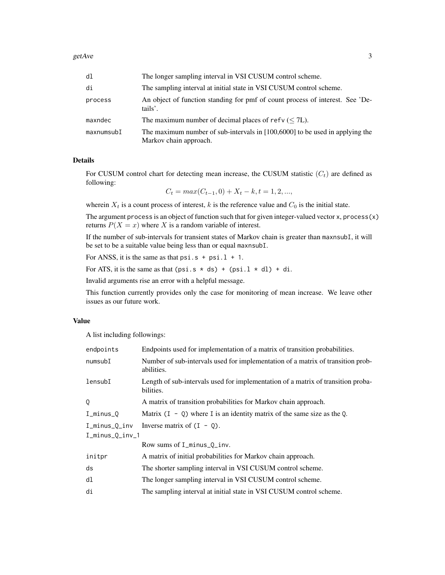| d1         | The longer sampling interval in VSI CUSUM control scheme.                                                |
|------------|----------------------------------------------------------------------------------------------------------|
| di         | The sampling interval at initial state in VSI CUSUM control scheme.                                      |
| process    | An object of function standing for pmf of count process of interest. See 'De-<br>tails'.                 |
| maxndec    | The maximum number of decimal places of refv $(< 7L)$ .                                                  |
| maxnumsubI | The maximum number of sub-intervals in $[100,6000]$ to be used in applying the<br>Markov chain approach. |

#### Details

For CUSUM control chart for detecting mean increase, the CUSUM statistic  $(C_t)$  are defined as following:

 $C_t = max(C_{t-1}, 0) + X_t - k, t = 1, 2, ...,$ 

wherein  $X_t$  is a count process of interest, k is the reference value and  $C_0$  is the initial state.

The argument process is an object of function such that for given integer-valued vector  $x$ , process $(x)$ returns  $P(X = x)$  where X is a random variable of interest.

If the number of sub-intervals for transient states of Markov chain is greater than maxnsubI, it will be set to be a suitable value being less than or equal maxnsubI.

For ANSS, it is the same as that  $psi$ si.s + psi.l + 1.

For ATS, it is the same as that  $(psi.s * ds) + (psi.l * dl) + di$ .

Invalid arguments rise an error with a helpful message.

This function currently provides only the case for monitoring of mean increase. We leave other issues as our future work.

#### Value

A list including followings:

| endpoints       | Endpoints used for implementation of a matrix of transition probabilities.                    |  |  |  |  |
|-----------------|-----------------------------------------------------------------------------------------------|--|--|--|--|
| numsubI         | Number of sub-intervals used for implementation of a matrix of transition prob-<br>abilities. |  |  |  |  |
| lensubI         | Length of sub-intervals used for implementation of a matrix of transition proba-<br>bilities. |  |  |  |  |
| Q               | A matrix of transition probabilities for Markov chain approach.                               |  |  |  |  |
| $I_minus_Q$     | Matrix $(I - Q)$ where I is an identity matrix of the same size as the Q.                     |  |  |  |  |
| I_minus_Q_inv   | Inverse matrix of $(I - Q)$ .                                                                 |  |  |  |  |
| I_minus_Q_inv_1 |                                                                                               |  |  |  |  |
|                 | Row sums of I_minus_Q_inv.                                                                    |  |  |  |  |
| initpr          | A matrix of initial probabilities for Markov chain approach.                                  |  |  |  |  |
| ds              | The shorter sampling interval in VSI CUSUM control scheme.                                    |  |  |  |  |
| dl              | The longer sampling interval in VSI CUSUM control scheme.                                     |  |  |  |  |
| di              | The sampling interval at initial state in VSI CUSUM control scheme.                           |  |  |  |  |
|                 |                                                                                               |  |  |  |  |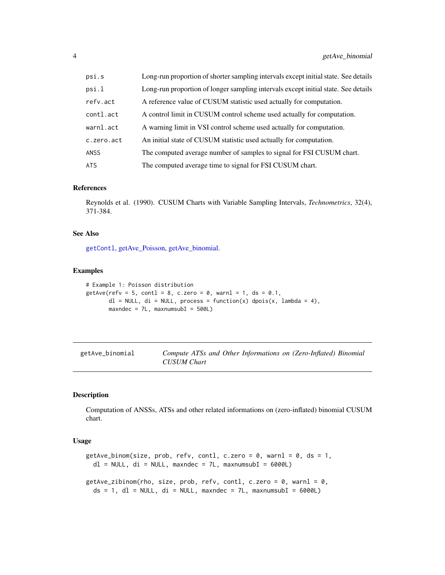<span id="page-3-0"></span>

| psi.s       | Long-run proportion of shorter sampling intervals except initial state. See details |
|-------------|-------------------------------------------------------------------------------------|
| psi.l       | Long-run proportion of longer sampling intervals except initial state. See details  |
| refv.act    | A reference value of CUSUM statistic used actually for computation.                 |
| contl.act   | A control limit in CUSUM control scheme used actually for computation.              |
| warnl.act   | A warning limit in VSI control scheme used actually for computation.                |
| c.zero.act  | An initial state of CUSUM statistic used actually for computation.                  |
| <b>ANSS</b> | The computed average number of samples to signal for FSI CUSUM chart.               |
| ATS         | The computed average time to signal for FSI CUSUM chart.                            |

#### References

Reynolds et al. (1990). CUSUM Charts with Variable Sampling Intervals, *Technometrics*, 32(4), 371-384.

#### See Also

[getContl](#page-7-1), [getAve\\_Poisson,](#page-5-1) [getAve\\_binomial.](#page-3-1)

#### Examples

```
# Example 1: Poisson distribution
getAve(refv = 5, cont1 = 8, c.zero = 0, warn1 = 1, ds = 0.1,dl = NULL, di = NULL, process = function(x) dpois(x, lambda = 4),
      maxndec = 7L, maxnumsubI = 500L
```
<span id="page-3-1"></span>

| getAve_binomial | Compute ATSs and Other Informations on (Zero-Inflated) Binomial |  |
|-----------------|-----------------------------------------------------------------|--|
|                 | <b>CUSUM Chart</b>                                              |  |

#### <span id="page-3-2"></span>Description

Computation of ANSSs, ATSs and other related informations on (zero-inflated) binomial CUSUM chart.

#### Usage

```
getAve_binom(size, prob, refv, contl, c.zero = 0, warnl = 0, ds = 1,
 dl = NULL, di = NULL, maxndec = 7L, maxnumsubI = 6000L)
getAve_zibinom(rho, size, prob, refv, contl, c.zero = 0, warnl = 0,
 ds = 1, dl = NULL, di = NULL, maxndec = 7L, maxnumsubI = 6000L)
```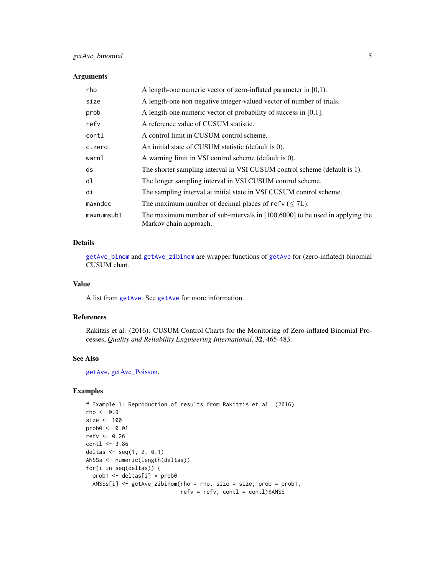#### <span id="page-4-0"></span>getAve\_binomial 5

#### Arguments

| rho        | A length-one numeric vector of zero-inflated parameter in $[0,1)$ .                                      |
|------------|----------------------------------------------------------------------------------------------------------|
| size       | A length-one non-negative integer-valued vector of number of trials.                                     |
| prob       | A length-one numeric vector of probability of success in $[0,1]$ .                                       |
| refv       | A reference value of CUSUM statistic.                                                                    |
| contl      | A control limit in CUSUM control scheme.                                                                 |
| c.zero     | An initial state of CUSUM statistic (default is 0).                                                      |
| warnl      | A warning limit in VSI control scheme (default is 0).                                                    |
| ds         | The shorter sampling interval in VSI CUSUM control scheme (default is 1).                                |
| dl         | The longer sampling interval in VSI CUSUM control scheme.                                                |
| di         | The sampling interval at initial state in VSI CUSUM control scheme.                                      |
| maxndec    | The maximum number of decimal places of refv ( $\leq$ 7L).                                               |
| maxnumsubI | The maximum number of sub-intervals in $[100,6000]$ to be used in applying the<br>Markov chain approach. |

#### Details

[getAve\\_binom](#page-3-2) and [getAve\\_zibinom](#page-3-2) are wrapper functions of [getAve](#page-1-1) for (zero-inflated) binomial CUSUM chart.

#### Value

A list from [getAve](#page-1-1). See [getAve](#page-1-1) for more information.

#### References

Rakitzis et al. (2016). CUSUM Control Charts for the Monitoring of Zero-inflated Binomial Processes, *Quality and Reliability Engineering International*, 32, 465-483.

#### See Also

[getAve](#page-1-1), [getAve\\_Poisson.](#page-5-1)

```
# Example 1: Reproduction of results from Rakitzis et al. (2016)
rho < -0.9size <- 100
prob0 <- 0.01
refv <- 0.26
\text{contl} \leftarrow 3.86deltas <- seq(1, 2, 0.1)
ANSSs <- numeric(length(deltas))
for(i in seq(deltas)) {
  prob1 <- deltas[i] * prob0
  ANSSs[i] <- getAve_zibinom(rho = rho, size = size, prob = prob1,
                              refv = refv, contl = contl)$ANSS
```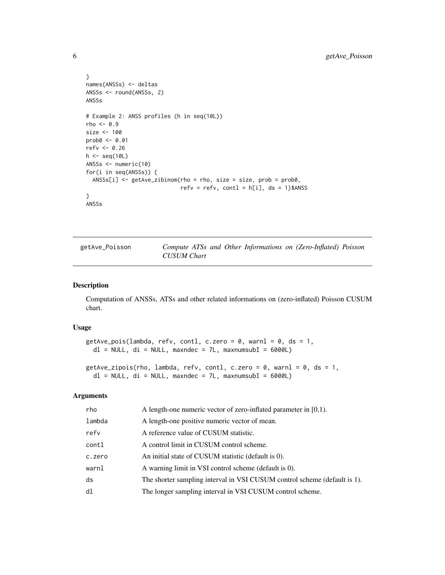```
}
names(ANSSs) <- deltas
ANSSs <- round(ANSSs, 2)
ANSSs
# Example 2: ANSS profiles (h in seq(10L))
rho <-0.9size <- 100
prob0 <- 0.01
refv <- 0.26
h <- seq(10L)
ANSSs <- numeric(10)
for(i in seq(ANSSs)) {
  ANSSs[i] <- getAve_zibinom(rho = rho, size = size, prob = prob0,
                             refv = refv, contl = h[i], ds = 1)$ANSS
}
ANSSs
```
<span id="page-5-1"></span>

| getAve_Poisson |             |  |  | Compute ATSs and Other Informations on (Zero-Inflated) Poisson |  |
|----------------|-------------|--|--|----------------------------------------------------------------|--|
|                | CUSUM Chart |  |  |                                                                |  |

#### <span id="page-5-2"></span>Description

Computation of ANSSs, ATSs and other related informations on (zero-inflated) Poisson CUSUM chart.

#### Usage

```
getAve_pois(lambda, refv, contl, c.zero = 0, warnl = 0, ds = 1,
 dl = NULL, di = NULL, maxndec = 7L, maxnumsubI = 6000L)
```

```
getAve_zipois(rho, lambda, refv, contl, c.zero = 0, warnl = 0, ds = 1,
  dl = NULL, di = NULL, maxndec = 7L, maxnumsubI = 6000L)
```
#### Arguments

| rho    | A length-one numeric vector of zero-inflated parameter in $[0,1)$ .       |
|--------|---------------------------------------------------------------------------|
| lambda | A length-one positive numeric vector of mean.                             |
| refy   | A reference value of CUSUM statistic.                                     |
| contl  | A control limit in CUSUM control scheme.                                  |
| c.zero | An initial state of CUSUM statistic (default is 0).                       |
| warnl  | A warning limit in VSI control scheme (default is 0).                     |
| ds     | The shorter sampling interval in VSI CUSUM control scheme (default is 1). |
| d1     | The longer sampling interval in VSI CUSUM control scheme.                 |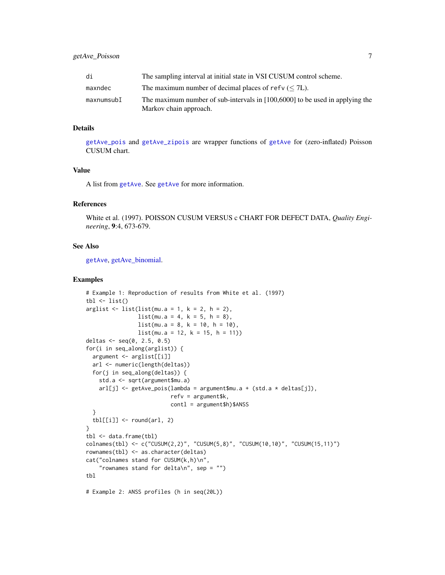<span id="page-6-0"></span>

| di         | The sampling interval at initial state in VSI CUSUM control scheme.                                      |
|------------|----------------------------------------------------------------------------------------------------------|
| maxndec    | The maximum number of decimal places of refv $(< 7L)$ .                                                  |
| maxnumsubI | The maximum number of sub-intervals in $[100,6000]$ to be used in applying the<br>Markov chain approach. |

#### Details

[getAve\\_pois](#page-5-2) and [getAve\\_zipois](#page-5-2) are wrapper functions of [getAve](#page-1-1) for (zero-inflated) Poisson CUSUM chart.

#### Value

A list from [getAve](#page-1-1). See [getAve](#page-1-1) for more information.

#### References

White et al. (1997). POISSON CUSUM VERSUS c CHART FOR DEFECT DATA, *Quality Engineering*, 9:4, 673-679.

#### See Also

[getAve](#page-1-1), [getAve\\_binomial.](#page-3-1)

```
# Example 1: Reproduction of results from White et al. (1997)
tbl \leftarrow list()arglist \le list(list(mu.a = 1, k = 2, h = 2),
                list(mu.a = 4, k = 5, h = 8),list(mu.a = 8, k = 10, h = 10),
                list(mu.a = 12, k = 15, h = 11))deltas <- seq(0, 2.5, 0.5)
for(i in seq_along(arglist)) {
  argument <- arglist[[i]]
  arl <- numeric(length(deltas))
  for(j in seq_along(deltas)) {
    std.a <- sqrt(argument$mu.a)
    ar[[j] \leftarrow getAve\_pois(lambda = argument$mu.a + (std.a * delta[j]),refv = argument$k,
                           contl = argument$h)$ANSS
  }
  tbl[[i]] \leftarrow \text{round}(arl, 2)}
tbl <- data.frame(tbl)
colnames(tbl) <- c("CUSUM(2,2)", "CUSUM(5,8)", "CUSUM(10,10)", "CUSUM(15,11)")
rownames(tbl) <- as.character(deltas)
cat("colnames stand for CUSUM(k,h)\n",
    "rownames stand for delta\n", sep = "")
tbl
# Example 2: ANSS profiles (h in seq(20L))
```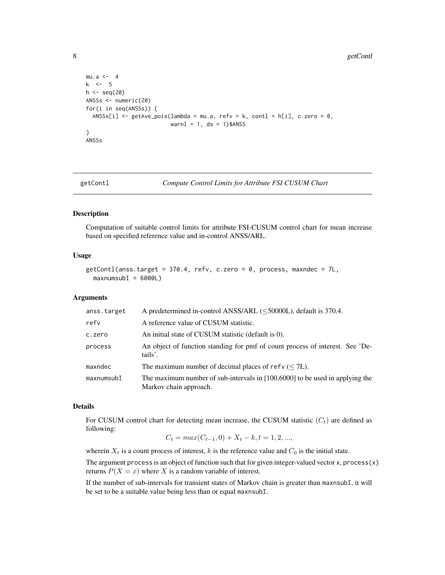<span id="page-7-0"></span>8 getContl

```
mu.a < -4k \le -5h \leftarrow \text{seq}(20)ANSSs <- numeric(20)
for(i in seq(ANSSs)) {
  ANSSs[i] \le getAve_pois(lambda = mu.a, refv = k, contl = h[i], c.zero = 0,
                            warnl = 1, ds = 1)$ANSS
}
ANSSs
```
<span id="page-7-1"></span>

getContl *Compute Control Limits for Attribute FSI CUSUM Chart*

#### Description

Computation of suitable control limits for attribute FSI-CUSUM control chart for mean increase based on specified reference value and in-control ANSS/ARL.

#### Usage

```
getContl(anss.target = 370.4, refv, c.zero = 0, process, maxndec = 7L,
 maxnumsubI = 6000L
```
#### Arguments

| anss.target | A predetermined in-control ANSS/ARL ( $\leq$ 50000L), default is 370.4.                                  |
|-------------|----------------------------------------------------------------------------------------------------------|
| refy        | A reference value of CUSUM statistic.                                                                    |
| c.zero      | An initial state of CUSUM statistic (default is 0).                                                      |
| process     | An object of function standing for pmf of count process of interest. See 'De-<br>tails'.                 |
| maxndec     | The maximum number of decimal places of refv ( $\leq$ 7L).                                               |
| maxnumsubI  | The maximum number of sub-intervals in $[100,6000]$ to be used in applying the<br>Markov chain approach. |

#### Details

For CUSUM control chart for detecting mean increase, the CUSUM statistic  $(C_t)$  are defined as following:

$$
C_t = max(C_{t-1}, 0) + X_t - k, t = 1, 2, ...,
$$

wherein  $X_t$  is a count process of interest, k is the reference value and  $C_0$  is the initial state.

The argument process is an object of function such that for given integer-valued vector x, process(x) returns  $P(X = x)$  where X is a random variable of interest.

If the number of sub-intervals for transient states of Markov chain is greater than maxnsubI, it will be set to be a suitable value being less than or equal maxnsubI.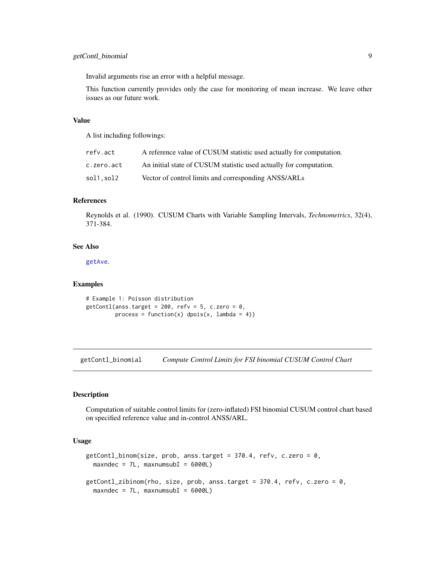<span id="page-8-0"></span>Invalid arguments rise an error with a helpful message.

This function currently provides only the case for monitoring of mean increase. We leave other issues as our future work.

#### Value

A list including followings:

| refv.act   | A reference value of CUSUM statistic used actually for computation. |
|------------|---------------------------------------------------------------------|
| c.zero.act | An initial state of CUSUM statistic used actually for computation.  |
| sol1.sol2  | Vector of control limits and corresponding ANSS/ARLs                |

#### References

Reynolds et al. (1990). CUSUM Charts with Variable Sampling Intervals, *Technometrics*, 32(4), 371-384.

#### See Also

[getAve](#page-1-1).

#### Examples

```
# Example 1: Poisson distribution
getContl(anss.target = 200, refv = 5, c.zero = 0,
        process = function(x) dpois(x, lambda = 4))
```
<span id="page-8-2"></span>getContl\_binomial *Compute Control Limits for FSI binomial CUSUM Control Chart*

#### <span id="page-8-1"></span>Description

Computation of suitable control limits for (zero-inflated) FSI binomial CUSUM control chart based on specified reference value and in-control ANSS/ARL.

#### Usage

```
getContl_binom(size, prob, anss.target = 370.4, refv, c.zero = 0,
 maxndec = 7L, maxnumsubI = 6000LgetContl_zibinom(rho, size, prob, anss.target = 370.4, refv, c.zero = 0,
 maxndec = 7L, maxnumsubI = 6000L
```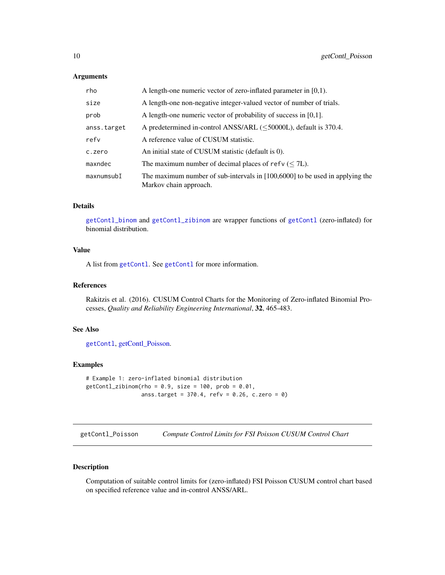#### <span id="page-9-0"></span>Arguments

| rho         | A length-one numeric vector of zero-inflated parameter in $[0,1)$ .                                      |
|-------------|----------------------------------------------------------------------------------------------------------|
| size        | A length-one non-negative integer-valued vector of number of trials.                                     |
| prob        | A length-one numeric vector of probability of success in $[0,1]$ .                                       |
| anss.target | A predetermined in-control ANSS/ARL ( $\leq$ 50000L), default is 370.4.                                  |
| refy        | A reference value of CUSUM statistic.                                                                    |
| c.zero      | An initial state of CUSUM statistic (default is 0).                                                      |
| maxndec     | The maximum number of decimal places of refv $(< 7L)$ .                                                  |
| maxnumsubI  | The maximum number of sub-intervals in $[100,6000]$ to be used in applying the<br>Markov chain approach. |

#### Details

[getContl\\_binom](#page-8-1) and [getContl\\_zibinom](#page-8-1) are wrapper functions of [getContl](#page-7-1) (zero-inflated) for binomial distribution.

#### Value

A list from [getContl](#page-7-1). See [getContl](#page-7-1) for more information.

#### References

Rakitzis et al. (2016). CUSUM Control Charts for the Monitoring of Zero-inflated Binomial Processes, *Quality and Reliability Engineering International*, 32, 465-483.

#### See Also

[getContl](#page-7-1), [getContl\\_Poisson.](#page-9-1)

#### Examples

```
# Example 1: zero-inflated binomial distribution
getContL_zibinom(rho = 0.9, size = 100, prob = 0.01,anss.target = 370.4, refv = 0.26, c.zero = 0)
```
<span id="page-9-1"></span>getContl\_Poisson *Compute Control Limits for FSI Poisson CUSUM Control Chart*

#### <span id="page-9-2"></span>Description

Computation of suitable control limits for (zero-inflated) FSI Poisson CUSUM control chart based on specified reference value and in-control ANSS/ARL.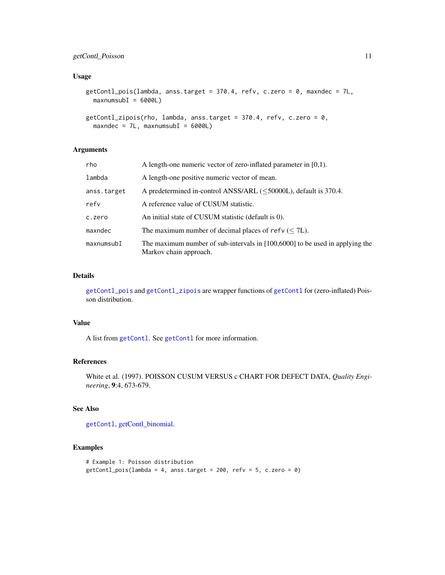#### <span id="page-10-0"></span>getContl\_Poisson 11

#### Usage

```
getContl_pois(lambda, anss.target = 370.4, refv, c.zero = 0, maxndec = 7L,
 maxnumsubI = 6000L)
```

```
getContl_zipois(rho, lambda, anss.target = 370.4, refv, c.zero = 0,
 maxndec = 7L, maxnumsubI = 6000L)
```
#### Arguments

| rho         | A length-one numeric vector of zero-inflated parameter in $[0,1)$ .                                      |
|-------------|----------------------------------------------------------------------------------------------------------|
| lambda      | A length-one positive numeric vector of mean.                                                            |
| anss.target | A predetermined in-control ANSS/ARL ( $\leq$ 50000L), default is 370.4.                                  |
| refv        | A reference value of CUSUM statistic.                                                                    |
| c.zero      | An initial state of CUSUM statistic (default is 0).                                                      |
| maxndec     | The maximum number of decimal places of refv $(< 7L)$ .                                                  |
| maxnumsubI  | The maximum number of sub-intervals in $[100,6000]$ to be used in applying the<br>Markov chain approach. |

#### Details

[getContl\\_pois](#page-9-2) and [getContl\\_zipois](#page-9-2) are wrapper functions of [getContl](#page-7-1) for (zero-inflated) Poisson distribution.

#### Value

A list from [getContl](#page-7-1). See [getContl](#page-7-1) for more information.

#### References

White et al. (1997). POISSON CUSUM VERSUS c CHART FOR DEFECT DATA, *Quality Engineering*, 9:4, 673-679.

#### See Also

[getContl](#page-7-1), [getContl\\_binomial.](#page-8-2)

```
# Example 1: Poisson distribution
getContl_pois(lambda = 4, anss.target = 200, refv = 5, c.zero = 0)
```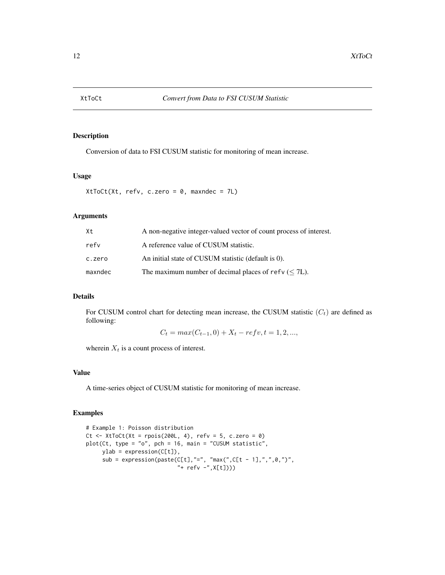<span id="page-11-0"></span>

#### Description

Conversion of data to FSI CUSUM statistic for monitoring of mean increase.

#### Usage

XtToCt(Xt, refv, c.zero = 0, maxndec = 7L)

#### Arguments

| Xt      | A non-negative integer-valued vector of count process of interest. |
|---------|--------------------------------------------------------------------|
| refy    | A reference value of CUSUM statistic.                              |
| c.zero  | An initial state of CUSUM statistic (default is 0).                |
| maxndec | The maximum number of decimal places of refv ( $\leq$ 7L).         |

#### Details

For CUSUM control chart for detecting mean increase, the CUSUM statistic  $(C<sub>t</sub>)$  are defined as following:

 $C_t = max(C_{t-1}, 0) + X_t - refv, t = 1, 2, ...,$ 

wherein  $X_t$  is a count process of interest.

#### Value

A time-series object of CUSUM statistic for monitoring of mean increase.

```
# Example 1: Poisson distribution
Ct \le XtToCt(Xt = rpois(200L, 4), refv = 5, c.zero = 0)
plot(Ct, type = "o", pch = 16, main = "CUSUM statistic",
    ylab = expression(C[t]),
     sub = expression(paste(C[t],"=", "max(",C[t - 1],",",0,")",
                            "+ refv -",X[t])))
```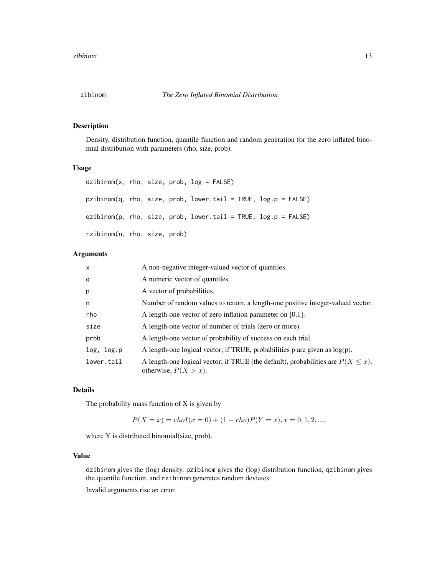<span id="page-12-0"></span>

#### Description

Density, distribution function, quantile function and random generation for the zero inflated binomial distribution with parameters (rho, size, prob).

#### Usage

|                              |  | dzibinom(x, rho, size, prob, log = FALSE)                      |  |  |
|------------------------------|--|----------------------------------------------------------------|--|--|
|                              |  | pzibinom(q, rho, size, prob, lower.tail = TRUE, log.p = FALSE) |  |  |
|                              |  | qzibinom(p, rho, size, prob, lower.tail = TRUE, log.p = FALSE) |  |  |
| rzibinom(n, rho, size, prob) |  |                                                                |  |  |

#### Arguments

| $\mathsf{x}$ | A non-negative integer-valued vector of quantiles.                                                              |
|--------------|-----------------------------------------------------------------------------------------------------------------|
| q            | A numeric vector of quantiles.                                                                                  |
| p            | A vector of probabilities.                                                                                      |
| n            | Number of random values to return, a length-one positive integer-valued vector.                                 |
| rho          | A length-one vector of zero inflation parameter on $[0,1]$ .                                                    |
| size         | A length-one vector of number of trials (zero or more).                                                         |
| prob         | A length-one vector of probability of success on each trial.                                                    |
| log, log.p   | A length-one logical vector; if TRUE, probabilities $p$ are given as $log(p)$ .                                 |
| lower.tail   | A length-one logical vector; if TRUE (the default), probabilities are $P(X \le x)$ ,<br>otherwise, $P(X > x)$ . |

#### Details

The probability mass function of X is given by

$$
P(X = x) = rhoI(x = 0) + (1 - rho)P(Y = x), x = 0, 1, 2, ...,
$$

where Y is distributed binomial(size, prob).

#### Value

dzibinom gives the (log) density, pzibinom gives the (log) distribution function, qzibinom gives the quantile function, and rzibinom generates random deviates.

Invalid arguments rise an error.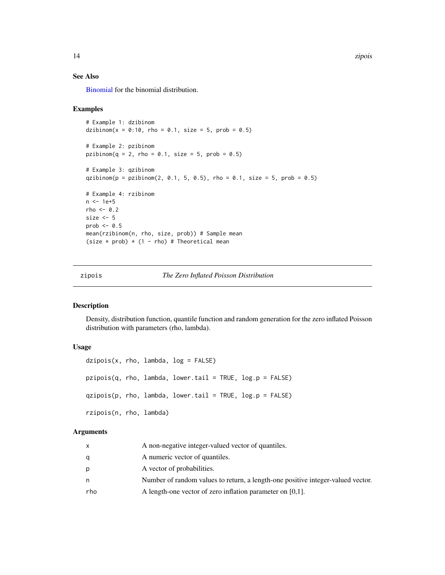14 zipois

#### See Also

[Binomial](#page-0-0) for the binomial distribution.

#### Examples

```
# Example 1: dzibinom
dzibinom(x = 0:10, rho = 0.1, size = 5, prob = 0.5)
# Example 2: pzibinom
pzibinom(q = 2, rho = 0.1, size = 5, prob = 0.5)# Example 3: qzibinom
qzibinom(p = pzibinom(2, 0.1, 5, 0.5), rho = 0.1, size = 5, prob = 0.5)
# Example 4: rzibinom
n < -1e+5rho <-0.2size <-5prob \leq -0.5mean(rzibinom(n, rho, size, prob)) # Sample mean
(size * prob) * (1 - rho) # Theoretical mean
```
#### zipois *The Zero Inflated Poisson Distribution*

#### Description

Density, distribution function, quantile function and random generation for the zero inflated Poisson distribution with parameters (rho, lambda).

#### Usage

```
dzipois(x, rho, lambda, log = FALSE)pzipois(q, rho, lambda, lower.tail = TRUE, log.p = FALSE)qzipois(p, rho, lambda, lower.tail = TRUE, log.p = FALSE)
rzipois(n, rho, lambda)
```
#### Arguments

|     | A non-negative integer-valued vector of quantiles.                              |
|-----|---------------------------------------------------------------------------------|
|     | A numeric vector of quantiles.                                                  |
| D   | A vector of probabilities.                                                      |
| n   | Number of random values to return, a length-one positive integer-valued vector. |
| rho | A length-one vector of zero inflation parameter on $[0,1]$ .                    |

<span id="page-13-0"></span>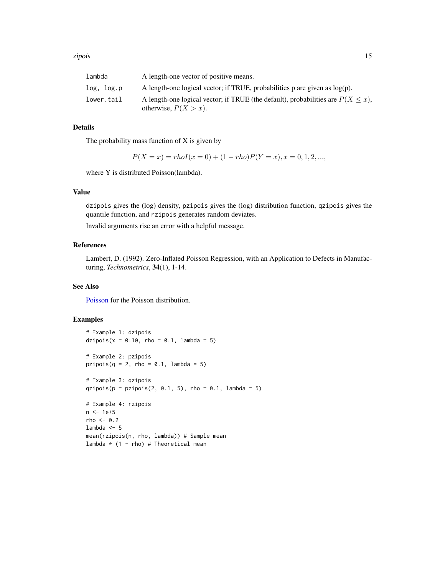<span id="page-14-0"></span>

| lambda     | A length-one vector of positive means.                                                                          |
|------------|-----------------------------------------------------------------------------------------------------------------|
| log, log.p | A length-one logical vector; if TRUE, probabilities $p$ are given as $log(p)$ .                                 |
| lower.tail | A length-one logical vector; if TRUE (the default), probabilities are $P(X \le x)$ ,<br>otherwise, $P(X > x)$ . |

#### Details

The probability mass function of  $X$  is given by

$$
P(X = x) = rhoI(x = 0) + (1 - rho)P(Y = x), x = 0, 1, 2, ...,
$$

where Y is distributed Poisson(lambda).

#### Value

dzipois gives the (log) density, pzipois gives the (log) distribution function, qzipois gives the quantile function, and rzipois generates random deviates.

Invalid arguments rise an error with a helpful message.

#### References

Lambert, D. (1992). Zero-Inflated Poisson Regression, with an Application to Defects in Manufacturing, *Technometrics*, 34(1), 1-14.

#### See Also

[Poisson](#page-0-0) for the Poisson distribution.

```
# Example 1: dzipois
dzipois(x = 0:10, rho = 0.1, lambda = 5)
# Example 2: pzipois
pzipois(q = 2, rho = 0.1, lambda = 5)
# Example 3: qzipois
qzipois(p = pzipois(2, 0.1, 5), rho = 0.1, lambda = 5)
# Example 4: rzipois
n <- 1e+5
rho < -0.2lambda <-5mean(rzipois(n, rho, lambda)) # Sample mean
lambda * (1 - rho) # Theoretical mean
```